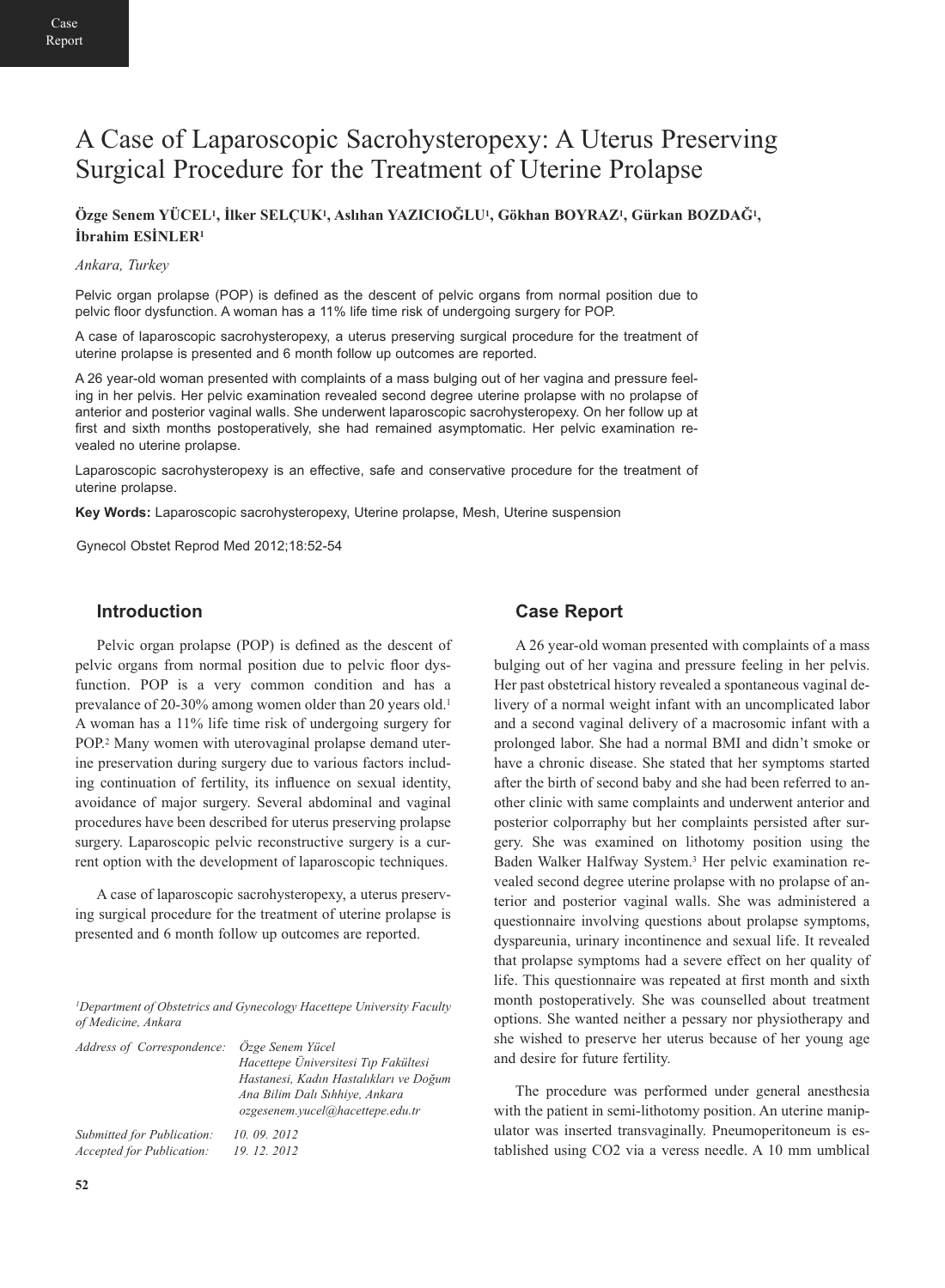# A Case of Laparoscopic Sacrohysteropexy: A Uterus Preserving Surgical Procedure for the Treatment of Uterine Prolapse

### **Özge Senem YÜCEL1, İlker SELÇUK1, Aslıhan YAZICIOĞLU1, Gökhan BOYRAZ1, Gürkan BOZDAĞ1, İbrahim ESİNLER<sup>1</sup>**

#### *Ankara, Turkey*

Pelvic organ prolapse (POP) is defined as the descent of pelvic organs from normal position due to pelvic floor dysfunction. A woman has a 11% life time risk of undergoing surgery for POP.

A case of laparoscopic sacrohysteropexy, a uterus preserving surgical procedure for the treatment of uterine prolapse is presented and 6 month follow up outcomes are reported.

A 26 year-old woman presented with complaints of a mass bulging out of her vagina and pressure feeling in her pelvis. Her pelvic examination revealed second degree uterine prolapse with no prolapse of anterior and posterior vaginal walls. She underwent laparoscopic sacrohysteropexy. On her follow up at first and sixth months postoperatively, she had remained asymptomatic. Her pelvic examination revealed no uterine prolapse.

Laparoscopic sacrohysteropexy is an effective, safe and conservative procedure for the treatment of uterine prolapse.

**Key Words:** Laparoscopic sacrohysteropexy, Uterine prolapse, Mesh, Uterine suspension

Gynecol Obstet Reprod Med 2012;18:52-54

### **Introduction**

Pelvic organ prolapse (POP) is defined as the descent of pelvic organs from normal position due to pelvic floor dysfunction. POP is a very common condition and has a prevalance of 20-30% among women older than 20 years old.<sup>1</sup> A woman has a 11% life time risk of undergoing surgery for POP.<sup>2</sup> Many women with uterovaginal prolapse demand uterine preservation during surgery due to various factors including continuation of fertility, its influence on sexual identity, avoidance of major surgery. Several abdominal and vaginal procedures have been described for uterus preserving prolapse surgery. Laparoscopic pelvic reconstructive surgery is a current option with the development of laparoscopic techniques.

A case of laparoscopic sacrohysteropexy, a uterus preserving surgical procedure for the treatment of uterine prolapse is presented and 6 month follow up outcomes are reported.

*1Department of Obstetrics and Gynecology Hacettepe University Faculty of Medicine, Ankara* 

| Address of Correspondence: Özge Senem Yücel | Hacettepe Üniversitesi Tıp Fakültesi<br>Hastanesi, Kadın Hastalıkları ve Doğum<br>Ana Bilim Dalı Sıhhiye, Ankara<br>ozgesenem.yucel@hacettepe.edu.tr |
|---------------------------------------------|------------------------------------------------------------------------------------------------------------------------------------------------------|
| Submitted for Publication:                  | 10, 09, 2012                                                                                                                                         |
| <b>Accepted for Publication:</b>            | 19.12.2012                                                                                                                                           |

#### **Case Report**

A 26 year-old woman presented with complaints of a mass bulging out of her vagina and pressure feeling in her pelvis. Her past obstetrical history revealed a spontaneous vaginal delivery of a normal weight infant with an uncomplicated labor and a second vaginal delivery of a macrosomic infant with a prolonged labor. She had a normal BMI and didn't smoke or have a chronic disease. She stated that her symptoms started after the birth of second baby and she had been referred to another clinic with same complaints and underwent anterior and posterior colporraphy but her complaints persisted after surgery. She was examined on lithotomy position using the Baden Walker Halfway System.3 Her pelvic examination revealed second degree uterine prolapse with no prolapse of anterior and posterior vaginal walls. She was administered a questionnaire involving questions about prolapse symptoms, dyspareunia, urinary incontinence and sexual life. It revealed that prolapse symptoms had a severe effect on her quality of life. This questionnaire was repeated at first month and sixth month postoperatively. She was counselled about treatment options. She wanted neither a pessary nor physiotherapy and she wished to preserve her uterus because of her young age and desire for future fertility.

The procedure was performed under general anesthesia with the patient in semi-lithotomy position. An uterine manipulator was inserted transvaginally. Pneumoperitoneum is established using CO2 via a veress needle. A 10 mm umblical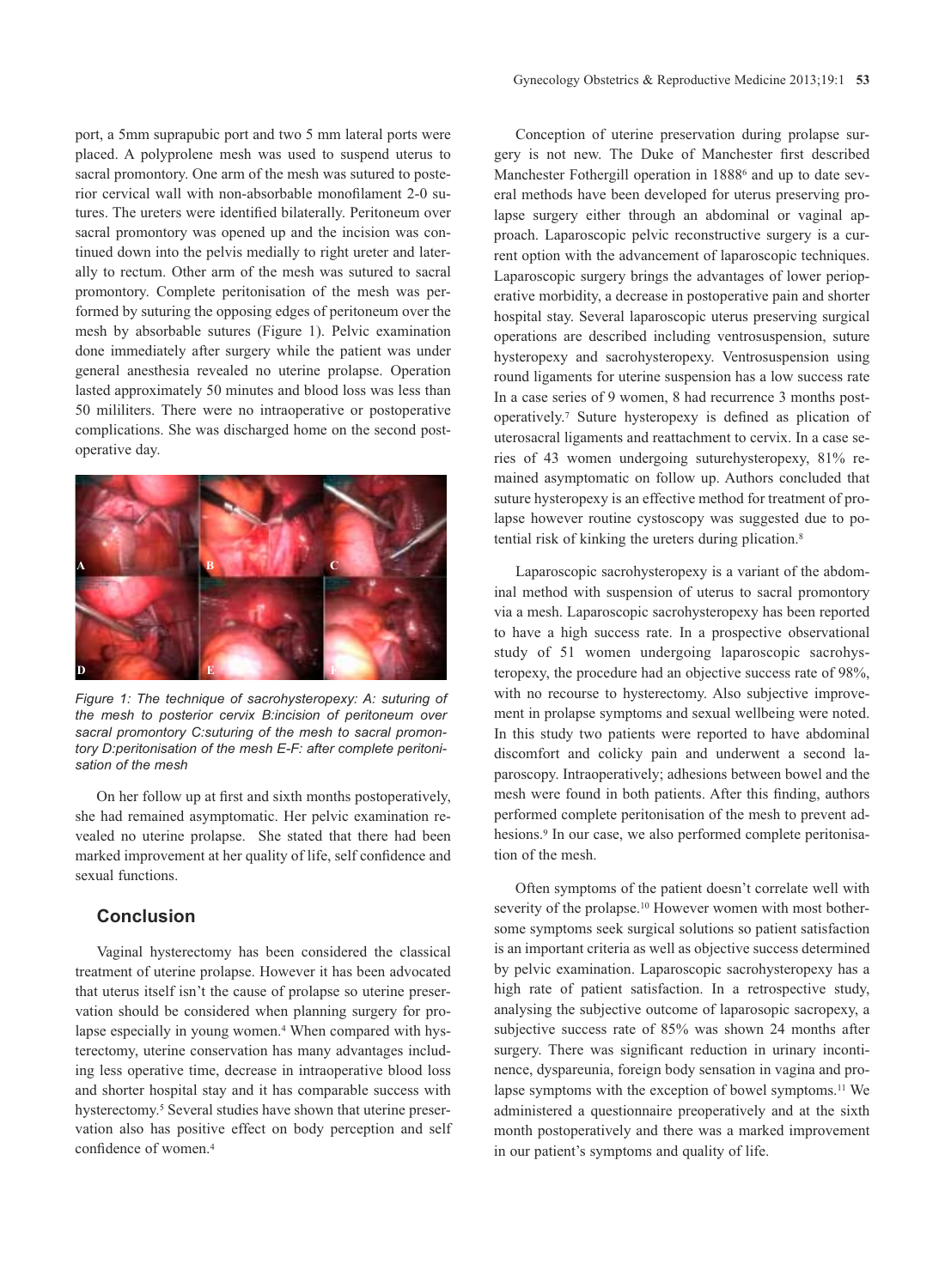port, a 5mm suprapubic port and two 5 mm lateral ports were placed. A polyprolene mesh was used to suspend uterus to sacral promontory. One arm of the mesh was sutured to posterior cervical wall with non-absorbable monofilament 2-0 sutures. The ureters were identified bilaterally. Peritoneum over sacral promontory was opened up and the incision was continued down into the pelvis medially to right ureter and laterally to rectum. Other arm of the mesh was sutured to sacral promontory. Complete peritonisation of the mesh was performed by suturing the opposing edges of peritoneum over the mesh by absorbable sutures (Figure 1). Pelvic examination done immediately after surgery while the patient was under general anesthesia revealed no uterine prolapse. Operation lasted approximately 50 minutes and blood loss was less than 50 mililiters. There were no intraoperative or postoperative complications. She was discharged home on the second postoperative day.



*Figure 1: The technique of sacrohysteropexy: A: suturing of* sacral promontory C:suturing of the mesh to sacral promontory D:peritonisation of the mesh E-F: after complete peritonisation of the mesh

On her follow up at first and sixth months postoperatively, she had remained asymptomatic. Her pelvic examination revealed no uterine prolapse. She stated that there had been marked improvement at her quality of life, self confidence and sexual functions.

## **Conclusion**

Vaginal hysterectomy has been considered the classical treatment of uterine prolapse. However it has been advocated that uterus itself isn't the cause of prolapse so uterine preservation should be considered when planning surgery for prolapse especially in young women.<sup>4</sup> When compared with hysterectomy, uterine conservation has many advantages including less operative time, decrease in intraoperative blood loss and shorter hospital stay and it has comparable success with hysterectomy.<sup>5</sup> Several studies have shown that uterine preservation also has positive effect on body perception and self confidence of women.4

Conception of uterine preservation during prolapse surgery is not new. The Duke of Manchester first described Manchester Fothergill operation in 1888<sup>6</sup> and up to date several methods have been developed for uterus preserving prolapse surgery either through an abdominal or vaginal approach. Laparoscopic pelvic reconstructive surgery is a current option with the advancement of laparoscopic techniques. Laparoscopic surgery brings the advantages of lower perioperative morbidity, a decrease in postoperative pain and shorter hospital stay. Several laparoscopic uterus preserving surgical operations are described including ventrosuspension, suture hysteropexy and sacrohysteropexy. Ventrosuspension using round ligaments for uterine suspension has a low success rate In a case series of 9 women, 8 had recurrence 3 months postoperatively.7 Suture hysteropexy is defined as plication of uterosacral ligaments and reattachment to cervix. In a case series of 43 women undergoing suturehysteropexy, 81% remained asymptomatic on follow up. Authors concluded that suture hysteropexy is an effective method for treatment of prolapse however routine cystoscopy was suggested due to potential risk of kinking the ureters during plication.<sup>8</sup>

Laparoscopic sacrohysteropexy is a variant of the abdominal method with suspension of uterus to sacral promontory via a mesh. Laparoscopic sacrohysteropexy has been reported to have a high success rate. In a prospective observational study of 51 women undergoing laparoscopic sacrohysteropexy, the procedure had an objective success rate of 98%, with no recourse to hysterectomy. Also subjective improvement in prolapse symptoms and sexual wellbeing were noted. In this study two patients were reported to have abdominal discomfort and colicky pain and underwent a second laparoscopy. Intraoperatively; adhesions between bowel and the mesh were found in both patients. After this finding, authors performed complete peritonisation of the mesh to prevent adhesions.<sup>9</sup> In our case, we also performed complete peritonisation of the mesh.

Often symptoms of the patient doesn't correlate well with severity of the prolapse.<sup>10</sup> However women with most bothersome symptoms seek surgical solutions so patient satisfaction is an important criteria as well as objective success determined by pelvic examination. Laparoscopic sacrohysteropexy has a high rate of patient satisfaction. In a retrospective study, analysing the subjective outcome of laparosopic sacropexy, a subjective success rate of 85% was shown 24 months after surgery. There was significant reduction in urinary incontinence, dyspareunia, foreign body sensation in vagina and prolapse symptoms with the exception of bowel symptoms.<sup>11</sup> We administered a questionnaire preoperatively and at the sixth month postoperatively and there was a marked improvement in our patient's symptoms and quality of life.